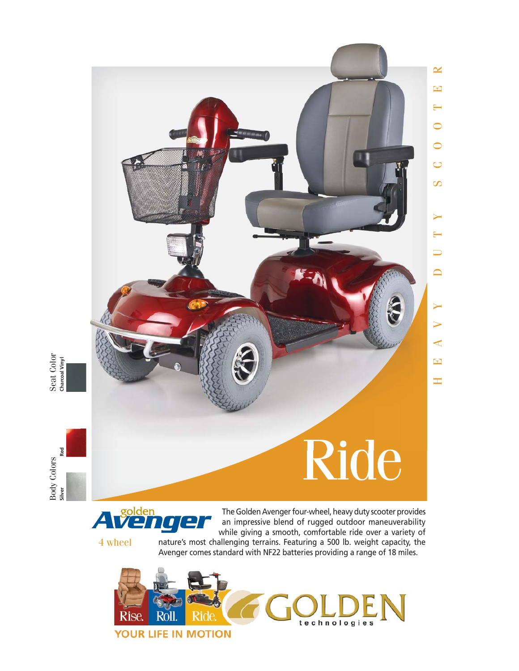

Seat Color<br>Charceal Vinyl **Charcoal Vinyl** 

Body Colors Seat Color Red **Silver Red** Body Colors<br>siver Re



The Golden Avenger four-wheel, heavy duty scooter provides an impressive blend of rugged outdoor maneuverability while giving a smooth, comfortable ride over a variety of



nature's most challenging terrains. Featuring a 500 lb. weight capacity, the Avenger comes standard with NF22 batteries providing a range of 18 miles.